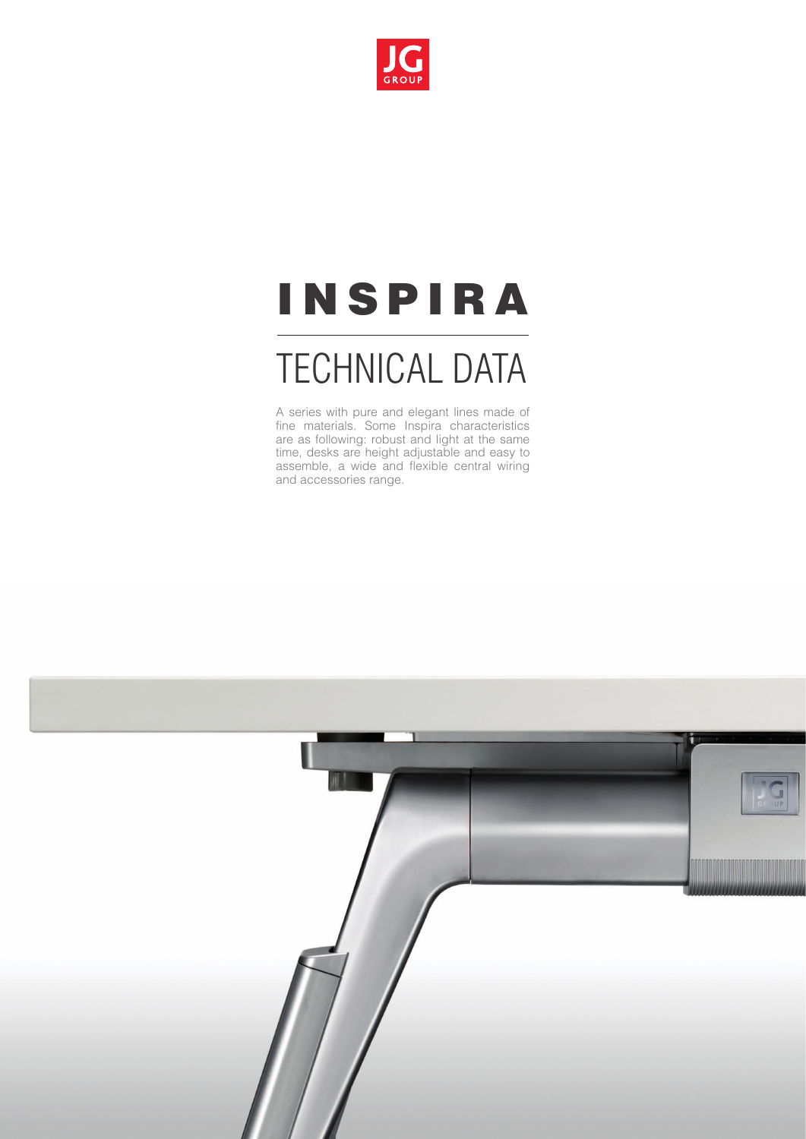

# **INSPIRA**

## TECHNICAL DATA

A series with pure and elegant lines made of fine materials. Some Inspira characteristics are as following: robust and light at the same time, desks are height adjustable and easy to assemble, a wide and flexible central wiring and accessories range.

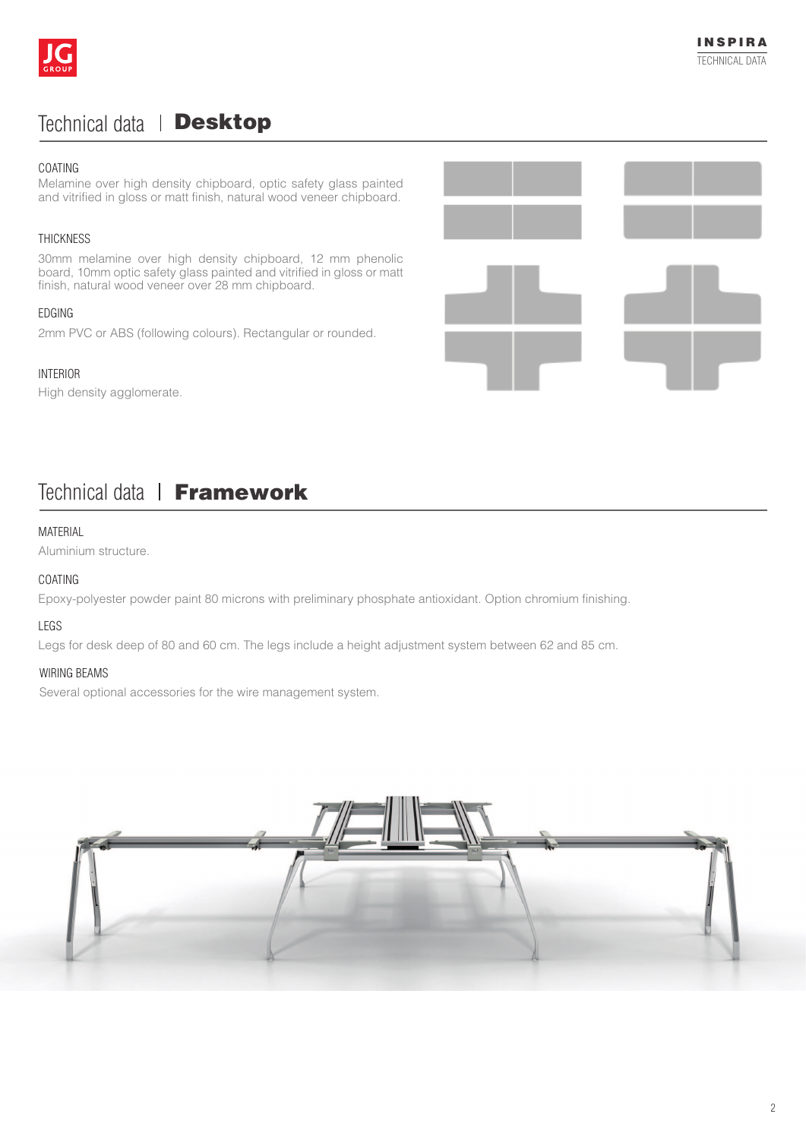

## Technical data | Desktop

#### coating

Melamine over high density chipboard, optic safety glass painted and vitrified in gloss or matt finish, natural wood veneer chipboard.

#### THICKNESS

30mm melamine over high density chipboard, 12 mm phenolic board, 10mm optic safety glass painted and vitrified in gloss or matt finish, natural wood veneer over 28 mm chipboard.

#### **EDGING**

2mm PVC or ABS (following colours). Rectangular or rounded.

#### Interior

High density agglomerate.



## Technical data | Framework

#### **MATFRIAL**

Aluminium structure.

#### COATING

Epoxy-polyester powder paint 80 microns with preliminary phosphate antioxidant. Option chromium finishing.

#### **LEGS**

Legs for desk deep of 80 and 60 cm. The legs include a height adjustment system between 62 and 85 cm.

#### WIRING BEAMS

Several optional accessories for the wire management system.

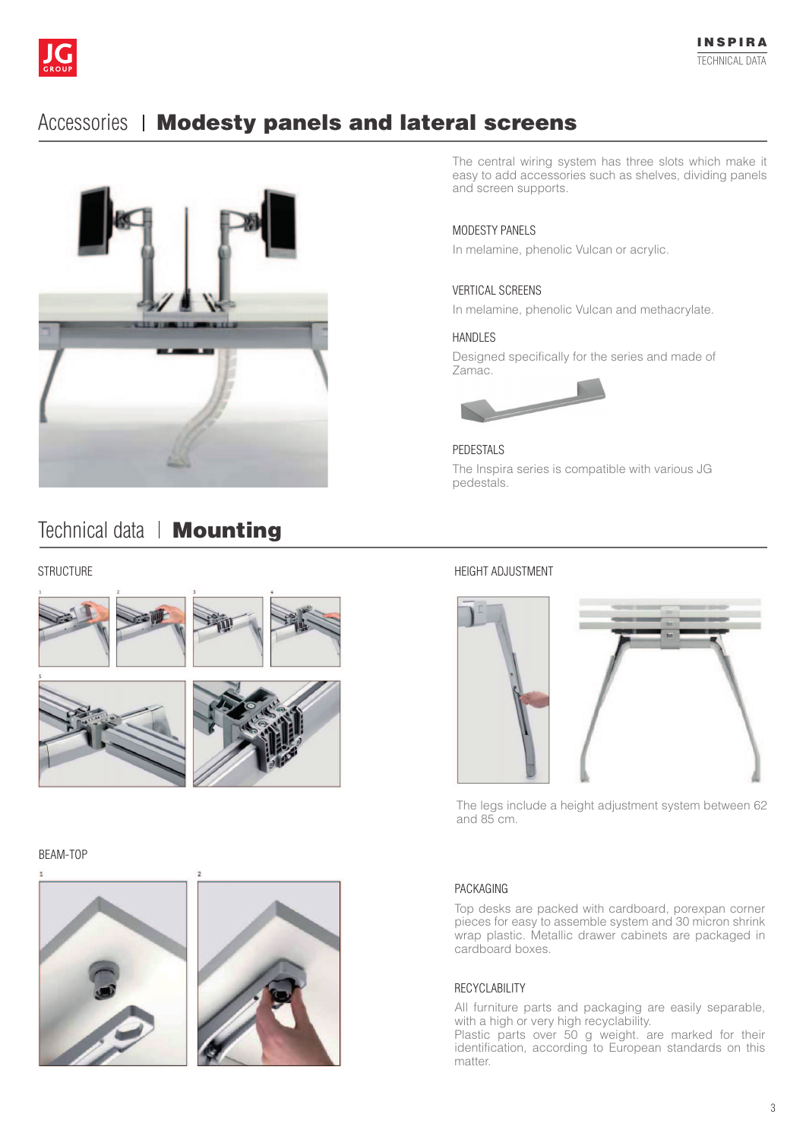

## Accessories | Modesty panels and lateral screens



## Technical data | **Mounting**

#### **STRUCTURE**









#### bEAM-ToP





The central wiring system has three slots which make it easy to add accessories such as shelves, dividing panels and screen supports.

#### MoDESTY PANELS

In melamine, phenolic Vulcan or acrylic.

#### VERTICAL SCREENS

In melamine, phenolic Vulcan and methacrylate.

#### HANDLES

Designed specifically for the series and made of Zamac.



PEDESTALS The Inspira series is compatible with various JG pedestals.

#### HEIgHT ADJUSTMENT



The legs include a height adjustment system between 62 and 85 cm.

#### PACKAGING

Top desks are packed with cardboard, porexpan corner pieces for easy to assemble system and 30 micron shrink wrap plastic. Metallic drawer cabinets are packaged in cardboard boxes.

#### RECYCLABILITY

All furniture parts and packaging are easily separable, with a high or very high recyclability.

Plastic parts over 50 g weight. are marked for their identification, according to European standards on this matter.